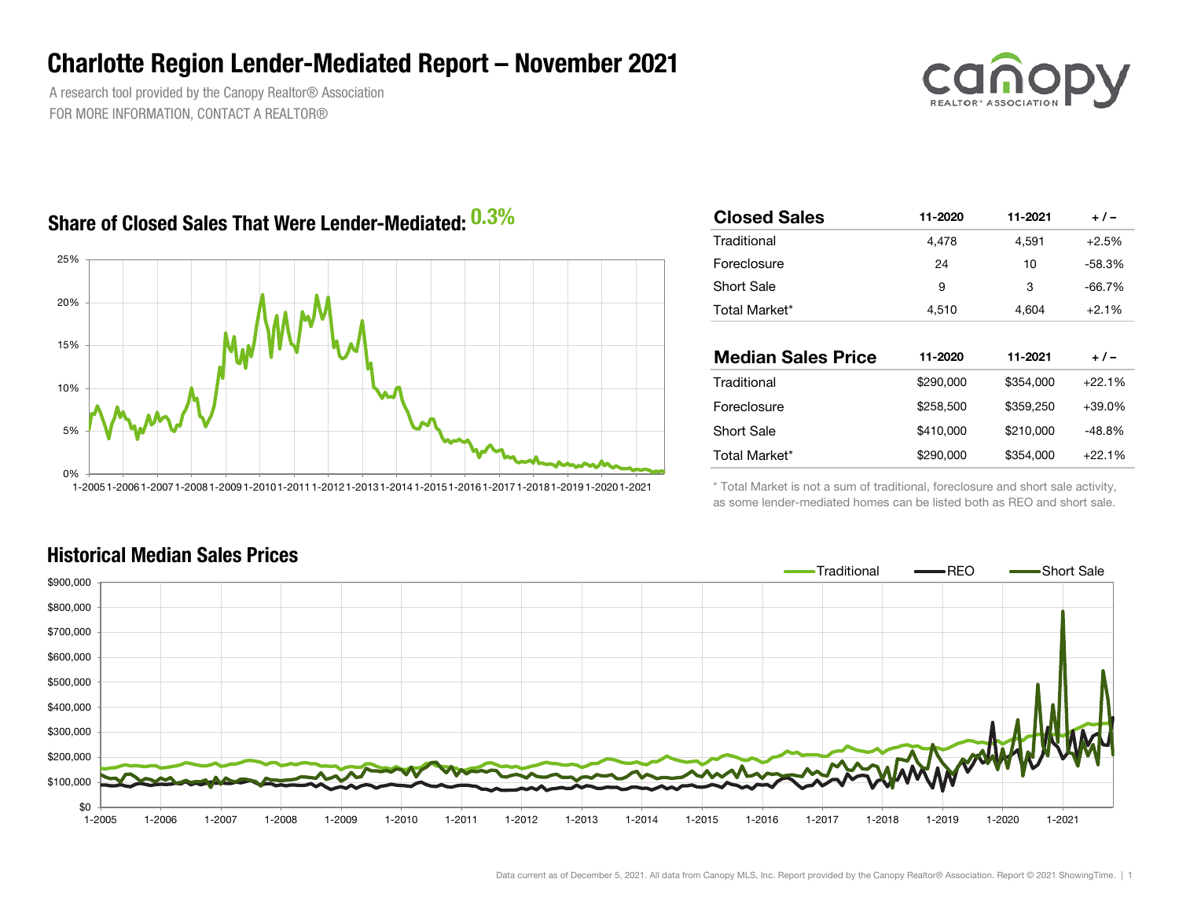### Charlotte Region Lender-Mediated Report – November 2021

A research tool provided by the Canopy Realtor® Association FOR MORE INFORMATION, CONTACT A REALTOR®



### Share of Closed Sales That Were Lender-Mediated:  $0.3\%$



| ℅ | <b>Closed Sales</b>       | 11-2020   | 11-2021   | $+/-$    |  |  |
|---|---------------------------|-----------|-----------|----------|--|--|
|   | Traditional               | 4,478     | 4.591     | $+2.5%$  |  |  |
|   | Foreclosure               | 24        | 10        | $-58.3%$ |  |  |
|   | <b>Short Sale</b>         | 9         | 3         | $-66.7%$ |  |  |
|   | Total Market*             | 4,510     | 4,604     | $+2.1%$  |  |  |
|   |                           |           |           |          |  |  |
|   |                           |           |           |          |  |  |
|   | <b>Median Sales Price</b> | 11-2020   | 11-2021   | $+/-$    |  |  |
|   | Traditional               | \$290,000 | \$354,000 | $+22.1%$ |  |  |
|   | Foreclosure               | \$258,500 | \$359,250 | $+39.0%$ |  |  |
|   | <b>Short Sale</b>         | \$410,000 | \$210,000 | $-48.8%$ |  |  |
|   |                           |           |           |          |  |  |

\* Total Market is not a sum of traditional, foreclosure and short sale activity, as some lender-mediated homes can be listed both as REO and short sale.



#### Historical Median Sales Prices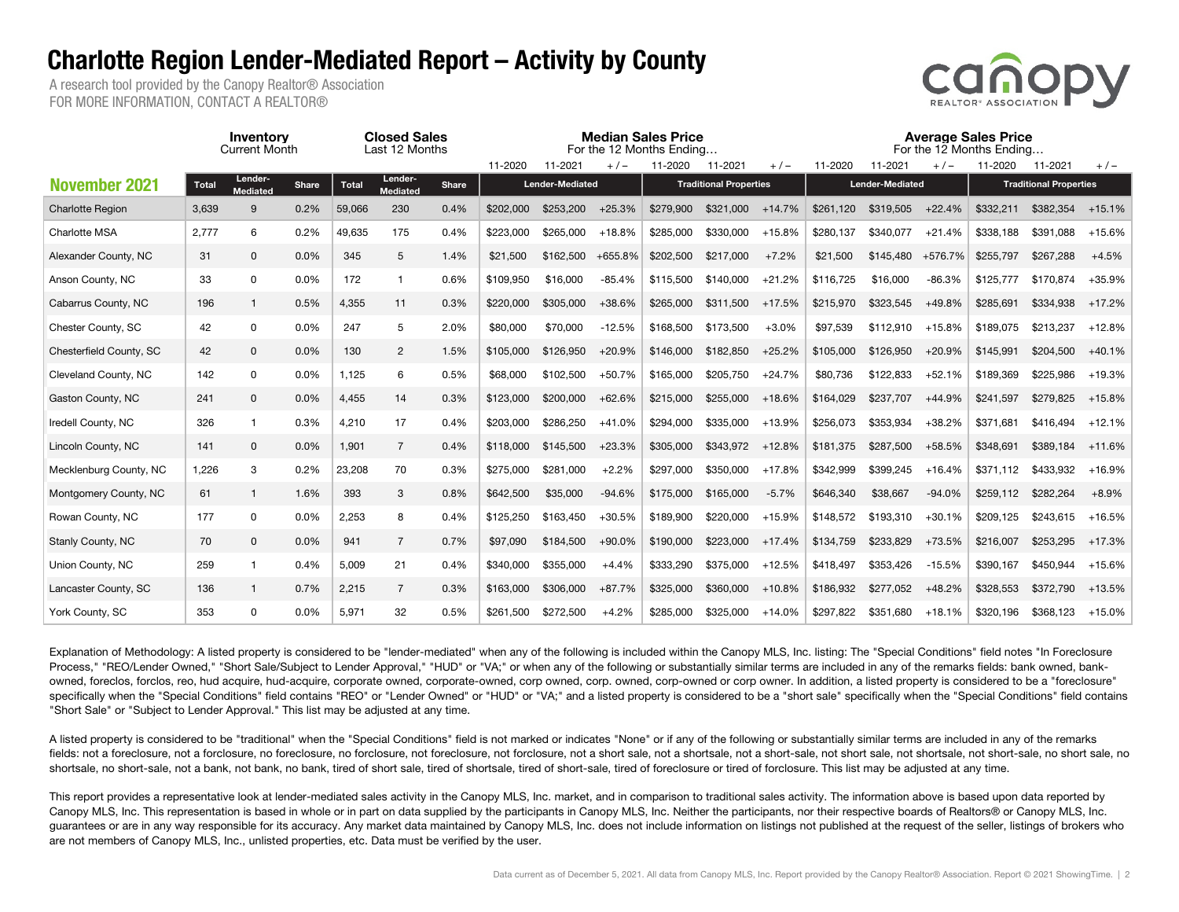## Charlotte Region Lender-Mediated Report – Activity by County

A research tool provided by the Canopy Realtor® Association FOR MORE INFORMATION, CONTACT A REALTOR®



|                         | Inventory<br><b>Current Month</b> |                            |                                         | <b>Closed Sales</b><br>Last 12 Months |                 |              |                        |           |           | <b>Median Sales Price</b><br>For the 12 Months Ending |           | <b>Average Sales Price</b><br>For the 12 Months Ending |           |                        |          |                               |           |          |
|-------------------------|-----------------------------------|----------------------------|-----------------------------------------|---------------------------------------|-----------------|--------------|------------------------|-----------|-----------|-------------------------------------------------------|-----------|--------------------------------------------------------|-----------|------------------------|----------|-------------------------------|-----------|----------|
|                         |                                   |                            |                                         |                                       |                 | 11-2020      | 11-2021                | $+/-$     | 11-2020   | 11-2021                                               | $+/-$     | 11-2020                                                | 11-2021   | $+/-$                  | 11-2020  | 11-2021                       | $+/-$     |          |
| <b>November 2021</b>    | <b>Total</b>                      | Lender-<br><b>Mediated</b> | Lender-<br><b>Total</b><br><b>Share</b> |                                       | <b>Mediated</b> | <b>Share</b> | <b>Lender-Mediated</b> |           |           | <b>Traditional Properties</b>                         |           |                                                        |           | <b>Lender-Mediated</b> |          | <b>Traditional Properties</b> |           |          |
| <b>Charlotte Region</b> | 3,639                             | 9                          | 0.2%                                    | 59,066                                | 230             | 0.4%         | \$202,000              | \$253,200 | $+25.3%$  | \$279,900                                             | \$321,000 | $+14.7%$                                               | \$261.120 | \$319.505              | $+22.4%$ | \$332.211                     | \$382,354 | $+15.1%$ |
| Charlotte MSA           | 2,777                             | 6                          | 0.2%                                    | 49,635                                | 175             | 0.4%         | \$223,000              | \$265.000 | $+18.8%$  | \$285.000                                             | \$330,000 | $+15.8%$                                               | \$280,137 | \$340.077              | $+21.4%$ | \$338,188                     | \$391.088 | +15.6%   |
| Alexander County, NC    | 31                                | $\mathbf 0$                | 0.0%                                    | 345                                   | 5               | 1.4%         | \$21,500               | \$162,500 | $+655.8%$ | \$202,500                                             | \$217,000 | $+7.2%$                                                | \$21.500  | \$145.480              | +576.7%  | \$255.797                     | \$267,288 | $+4.5%$  |
| Anson County, NC        | 33                                | $\mathsf{O}$               | 0.0%                                    | 172                                   | $\overline{1}$  | 0.6%         | \$109,950              | \$16,000  | $-85.4%$  | \$115,500                                             | \$140,000 | $+21.2%$                                               | \$116,725 | \$16,000               | $-86.3%$ | \$125,777                     | \$170.874 | +35.9%   |
| Cabarrus County, NC     | 196                               | $\mathbf{1}$               | 0.5%                                    | 4,355                                 | 11              | 0.3%         | \$220,000              | \$305,000 | $+38.6%$  | \$265,000                                             | \$311.500 | $+17.5%$                                               | \$215,970 | \$323,545              | $+49.8%$ | \$285.691                     | \$334.938 | $+17.2%$ |
| Chester County, SC      | 42                                | 0                          | 0.0%                                    | 247                                   | 5               | 2.0%         | \$80,000               | \$70,000  | $-12.5%$  | \$168,500                                             | \$173,500 | $+3.0%$                                                | \$97,539  | \$112,910              | $+15.8%$ | \$189,075                     | \$213,237 | $+12.8%$ |
| Chesterfield County, SC | 42                                | 0                          | 0.0%                                    | 130                                   | $\overline{2}$  | 1.5%         | \$105,000              | \$126,950 | $+20.9%$  | \$146,000                                             | \$182,850 | $+25.2%$                                               | \$105,000 | \$126,950              | $+20.9%$ | \$145.991                     | \$204,500 | $+40.1%$ |
| Cleveland County, NC    | 142                               | 0                          | 0.0%                                    | 1,125                                 | 6               | 0.5%         | \$68,000               | \$102,500 | $+50.7%$  | \$165,000                                             | \$205.750 | $+24.7%$                                               | \$80,736  | \$122,833              | $+52.1%$ | \$189.369                     | \$225,986 | $+19.3%$ |
| Gaston County, NC       | 241                               | $\mathbf 0$                | 0.0%                                    | 4,455                                 | 14              | 0.3%         | \$123,000              | \$200,000 | $+62.6%$  | \$215,000                                             | \$255,000 | $+18.6%$                                               | \$164,029 | \$237,707              | $+44.9%$ | \$241,597                     | \$279,825 | $+15.8%$ |
| Iredell County, NC      | 326                               | $\overline{1}$             | 0.3%                                    | 4,210                                 | 17              | 0.4%         | \$203,000              | \$286.250 | $+41.0%$  | \$294,000                                             | \$335,000 | $+13.9%$                                               | \$256,073 | \$353.934              | $+38.2%$ | \$371,681                     | \$416.494 | $+12.1%$ |
| Lincoln County, NC      | 141                               | $\mathbf 0$                | 0.0%                                    | 1,901                                 | $\overline{7}$  | 0.4%         | \$118,000              | \$145,500 | $+23.3%$  | \$305,000                                             | \$343,972 | $+12.8%$                                               | \$181,375 | \$287,500              | $+58.5%$ | \$348,691                     | \$389.184 | $+11.6%$ |
| Mecklenburg County, NC  | 1,226                             | 3                          | 0.2%                                    | 23,208                                | 70              | 0.3%         | \$275,000              | \$281,000 | $+2.2%$   | \$297.000                                             | \$350,000 | $+17.8%$                                               | \$342,999 | \$399,245              | $+16.4%$ | \$371.112                     | \$433.932 | $+16.9%$ |
| Montgomery County, NC   | 61                                | $\overline{1}$             | 1.6%                                    | 393                                   | 3               | 0.8%         | \$642,500              | \$35,000  | $-94.6%$  | \$175,000                                             | \$165,000 | $-5.7%$                                                | \$646,340 | \$38,667               | $-94.0%$ | \$259.112                     | \$282,264 | $+8.9%$  |
| Rowan County, NC        | 177                               | $\mathsf{O}$               | 0.0%                                    | 2,253                                 | 8               | 0.4%         | \$125,250              | \$163.450 | $+30.5%$  | \$189,900                                             | \$220,000 | $+15.9%$                                               | \$148,572 | \$193,310              | $+30.1%$ | \$209.125                     | \$243.615 | $+16.5%$ |
| Stanly County, NC       | 70                                | $\mathbf 0$                | 0.0%                                    | 941                                   | $\overline{7}$  | 0.7%         | \$97,090               | \$184,500 | $+90.0%$  | \$190,000                                             | \$223,000 | $+17.4%$                                               | \$134,759 | \$233,829              | $+73.5%$ | \$216,007                     | \$253,295 | $+17.3%$ |
| Union County, NC        | 259                               | $\overline{1}$             | 0.4%                                    | 5,009                                 | 21              | 0.4%         | \$340,000              | \$355,000 | $+4.4%$   | \$333,290                                             | \$375,000 | $+12.5%$                                               | \$418,497 | \$353,426              | $-15.5%$ | \$390,167                     | \$450,944 | $+15.6%$ |
| Lancaster County, SC    | 136                               | $\mathbf{1}$               | 0.7%                                    | 2,215                                 | $\overline{7}$  | 0.3%         | \$163,000              | \$306,000 | $+87.7%$  | \$325,000                                             | \$360,000 | $+10.8%$                                               | \$186,932 | \$277,052              | $+48.2%$ | \$328,553                     | \$372,790 | $+13.5%$ |
| York County, SC         | 353                               | 0                          | 0.0%                                    | 5,971                                 | 32              | 0.5%         | \$261.500              | \$272,500 | $+4.2%$   | \$285,000                                             | \$325,000 | $+14.0%$                                               | \$297,822 | \$351,680              | $+18.1%$ | \$320,196                     | \$368.123 | $+15.0%$ |

Explanation of Methodology: A listed property is considered to be "lender-mediated" when any of the following is included within the Canopy MLS, Inc. listing: The "Special Conditions" field notes "In Foreclosure Process," "REO/Lender Owned," "Short Sale/Subject to Lender Approval," "HUD" or "VA;" or when any of the following or substantially similar terms are included in any of the remarks fields: bank owned, bankowned, foreclos, forclos, reo, hud acquire, hud-acquire, corporate owned, corporate-owned, corp owned, corp. owned, corp-owned or corp owner. In addition, a listed property is considered to be a "foreclosure" specifically when the "Special Conditions" field contains "REO" or "Lender Owned" or "HUD" or "VA;" and a listed property is considered to be a "short sale" specifically when the "Special Conditions" field contains "Short Sale" or "Subject to Lender Approval." This list may be adjusted at any time.

A listed property is considered to be "traditional" when the "Special Conditions" field is not marked or indicates "None" or if any of the following or substantially similar terms are included in any of the remarks fields: not a foreclosure, not a forclosure, no foreclosure, no forclosure, not foreclosure, not forclosure, not forclosure, not a short sale, not a short-sale, not a short-sale, not short sale, not shortsale, not shortsal shortsale, no short-sale, not a bank, not bank, no bank, tired of short sale, tired of short-sale, tired of foreclosure or tired of forclosure. This list may be adjusted at any time.

This report provides a representative look at lender-mediated sales activity in the Canopy MLS, Inc. market, and in comparison to traditional sales activity. The information above is based upon data reported by Canopy MLS, Inc. This representation is based in whole or in part on data supplied by the participants in Canopy MLS, Inc. Neither the participants, nor their respective boards of Realtors® or Canopy MLS, Inc. guarantees or are in any way responsible for its accuracy. Any market data maintained by Canopy MLS, Inc. does not include information on listings not published at the request of the seller, listings of brokers who are not members of Canopy MLS, Inc., unlisted properties, etc. Data must be verified by the user.